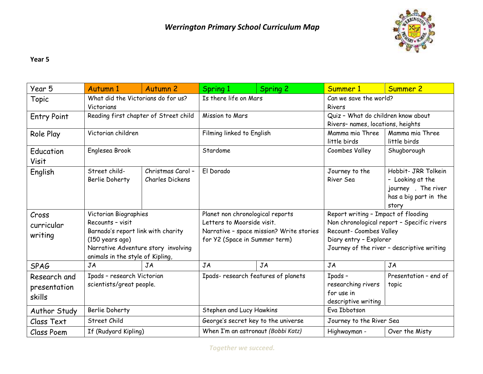

## **Year 5**

| Year 5                                 | Autumn 1                                                                                                                                                                                 | <b>Autumn 2</b>                      | Spring 1                                                                                                                                    | Spring 2 | Summer 1                                                                                                                                                                             | Summer 2                                                                                         |
|----------------------------------------|------------------------------------------------------------------------------------------------------------------------------------------------------------------------------------------|--------------------------------------|---------------------------------------------------------------------------------------------------------------------------------------------|----------|--------------------------------------------------------------------------------------------------------------------------------------------------------------------------------------|--------------------------------------------------------------------------------------------------|
| Topic                                  | What did the Victorians do for us?<br>Victorians                                                                                                                                         |                                      | Is there life on Mars                                                                                                                       |          | Can we save the world?<br>Rivers                                                                                                                                                     |                                                                                                  |
| <b>Entry Point</b>                     | Reading first chapter of Street child                                                                                                                                                    |                                      | Mission to Mars                                                                                                                             |          | Quiz - What do children know about<br>Rivers- names, locations, heights                                                                                                              |                                                                                                  |
| Role Play                              | Victorian children                                                                                                                                                                       |                                      | Filming linked to English                                                                                                                   |          | Mamma mia Three<br>little birds                                                                                                                                                      | Mamma mia Three<br>little birds                                                                  |
| Education<br>Visit                     | Englesea Brook                                                                                                                                                                           |                                      | Stardome                                                                                                                                    |          | Coombes Valley                                                                                                                                                                       | Shugborough                                                                                      |
| English                                | Street child-<br>Berlie Doherty                                                                                                                                                          | Christmas Carol -<br>Charles Dickens | El Dorado                                                                                                                                   |          | Journey to the<br>River Sea                                                                                                                                                          | Hobbit- JRR Tolkein<br>- Looking at the<br>journey . The river<br>has a big part in the<br>story |
| Cross<br>curricular<br>writing         | Victorian Biographies<br>Recounts - visit<br>Barnado's report link with charity<br>$(150 \text{ years } aqo)$<br>Narrative Adventure story involving<br>animals in the style of Kipling, |                                      | Planet non chronological reports<br>Letters to Moorside visit.<br>Narrative - space mission? Write stories<br>for Y2 (Space in Summer term) |          | Report writing - Impact of flooding<br>Non chronological report - Specific rivers<br>Recount- Coombes Valley<br>Diary entry - Explorer<br>Journey of the river - descriptive writing |                                                                                                  |
| <b>SPAG</b>                            | JA                                                                                                                                                                                       | JA                                   | JA                                                                                                                                          | JA       | <b>JA</b>                                                                                                                                                                            | <b>JA</b>                                                                                        |
| Research and<br>presentation<br>skills | Ipads - research Victorian<br>scientists/great people.                                                                                                                                   |                                      | Ipads- research features of planets                                                                                                         |          | Ipads -<br>researching rivers<br>for use in<br>descriptive writing                                                                                                                   | Presentation - end of<br>topic                                                                   |
| Author Study                           | Berlie Doherty                                                                                                                                                                           |                                      | Stephen and Lucy Hawkins                                                                                                                    |          | Eva Ibbotson                                                                                                                                                                         |                                                                                                  |
| Class Text                             | Street Child                                                                                                                                                                             |                                      | George's secret key to the universe                                                                                                         |          | Journey to the River Sea                                                                                                                                                             |                                                                                                  |
| Class Poem                             | If (Rudyard Kipling)                                                                                                                                                                     |                                      | When I'm an astronaut (Bobbi Katz)                                                                                                          |          | Highwayman -                                                                                                                                                                         | Over the Misty                                                                                   |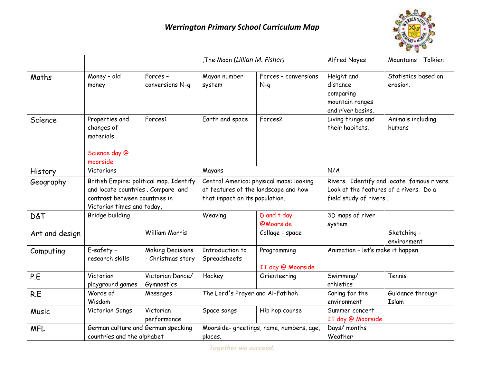

|                |                                                                                                                                             |                                              | The Moon (Lillian M. Fisher)                                                                                      |                                         | Alfred Noyes                                                                                                   | Mountains - Tolkien             |
|----------------|---------------------------------------------------------------------------------------------------------------------------------------------|----------------------------------------------|-------------------------------------------------------------------------------------------------------------------|-----------------------------------------|----------------------------------------------------------------------------------------------------------------|---------------------------------|
| Maths          | Money - old<br>money                                                                                                                        | Forces-<br>conversions N-q                   | Mayan number<br>system                                                                                            | Forces - conversions<br>$N-q$           | Height and<br>distance<br>comparing<br>mountain ranges<br>and river basins.                                    | Statistics based on<br>erosion. |
| Science        | Properties and<br>changes of<br>materials<br>Science day @<br>moorside                                                                      | Forces1                                      | Earth and space                                                                                                   | Forces2                                 | Living things and<br>their habitats.                                                                           | Animals including<br>humans     |
| History        | Victorians                                                                                                                                  |                                              | Mayans                                                                                                            |                                         | N/A                                                                                                            |                                 |
| Geography      | British Empire: political map. Identify<br>and locate countries. Compare and<br>contrast between countries in<br>Victorian times and today, |                                              | Central America: physical maps: looking<br>at features of the landscape and how<br>that impact on its population. |                                         | Rivers. Identify and locate famous rivers.<br>Look at the features of a rivers. Do a<br>field study of rivers. |                                 |
| D&T            | Bridge building                                                                                                                             |                                              | Weaving                                                                                                           | D and t day<br><b>@Moorside</b>         | 3D maps of river<br>system                                                                                     |                                 |
| Art and design |                                                                                                                                             | <b>William Morris</b>                        |                                                                                                                   | Collage - space                         |                                                                                                                | Sketching -<br>environment      |
| Computing      | E-safety -<br>research skills                                                                                                               | <b>Making Decisions</b><br>- Christmas story | Introduction to<br>Spreadsheets                                                                                   | Programming<br>IT day @ Moorside        | Animation - let's make it happen                                                                               |                                 |
| P.E            | Victorian<br>playground games                                                                                                               | Victorian Dance/<br>Gymnastics               | Hockey                                                                                                            | Orienteering                            | Swimming/<br>athletics                                                                                         | Tennis                          |
| R.E            | Words of<br>Wisdom                                                                                                                          | Messages                                     | The Lord's Prayer and Al-Fatihah                                                                                  |                                         | Caring for the<br>environment                                                                                  | Guidance through<br>Islam       |
| Music          | Victorian Songs                                                                                                                             | Victorian<br>performance                     | Space songs                                                                                                       | Hip hop course                          | Summer concert<br>IT day @ Moorside                                                                            |                                 |
| <b>MFL</b>     | German culture and German speaking<br>countries and the alphabet                                                                            |                                              | places.                                                                                                           | Moorside-greetings, name, numbers, age, | Days/ months<br>Weather                                                                                        |                                 |